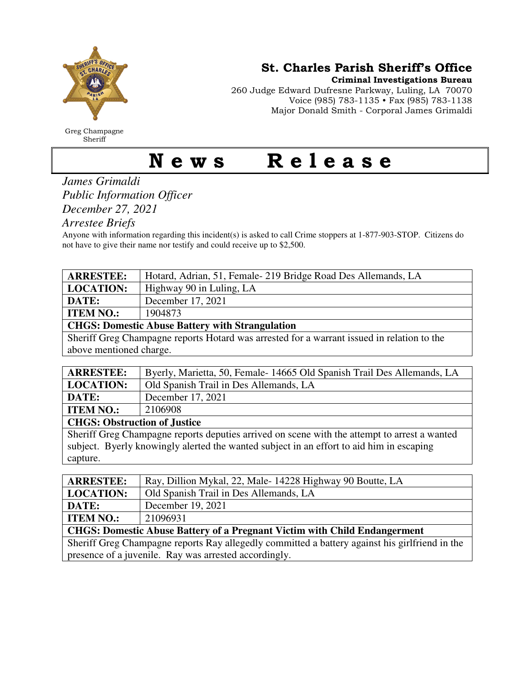

Greg Champagne Sheriff

St. Charles Parish Sheriff's Office

Criminal Investigations Bureau

260 Judge Edward Dufresne Parkway, Luling, LA 70070 Voice (985) 783-1135 • Fax (985) 783-1138 Major Donald Smith - Corporal James Grimaldi

## News Release

*James Grimaldi Public Information Officer December 27, 2021* 

*Arrestee Briefs* 

Anyone with information regarding this incident(s) is asked to call Crime stoppers at 1-877-903-STOP. Citizens do not have to give their name nor testify and could receive up to \$2,500.

| <b>ARRESTEE:</b>                                       | Hotard, Adrian, 51, Female-219 Bridge Road Des Allemands, LA |  |
|--------------------------------------------------------|--------------------------------------------------------------|--|
| <b>LOCATION:</b>                                       | Highway 90 in Luling, LA                                     |  |
| DATE:                                                  | December 17, 2021                                            |  |
| <b>ITEM NO.:</b>                                       | 1904873                                                      |  |
| <b>CHGS: Domestic Abuse Battery with Strangulation</b> |                                                              |  |
| __________                                             | .<br>$\sim$ $\sim$                                           |  |

Sheriff Greg Champagne reports Hotard was arrested for a warrant issued in relation to the above mentioned charge.

| <b>ARRESTEE:</b>                    | Byerly, Marietta, 50, Female-14665 Old Spanish Trail Des Allemands, LA |
|-------------------------------------|------------------------------------------------------------------------|
| <b>LOCATION:</b>                    | Old Spanish Trail in Des Allemands, LA                                 |
| DATE:                               | December 17, 2021                                                      |
| <b>ITEM NO.:</b>                    | 2106908                                                                |
| <b>CHGS: Obstruction of Justice</b> |                                                                        |
|                                     |                                                                        |

Sheriff Greg Champagne reports deputies arrived on scene with the attempt to arrest a wanted subject. Byerly knowingly alerted the wanted subject in an effort to aid him in escaping capture.

| <b>ARRESTEE:</b>                                                                               | Ray, Dillion Mykal, 22, Male-14228 Highway 90 Boutte, LA |  |
|------------------------------------------------------------------------------------------------|----------------------------------------------------------|--|
| <b>LOCATION:</b>                                                                               | Old Spanish Trail in Des Allemands, LA                   |  |
| DATE:                                                                                          | December 19, 2021                                        |  |
| <b>ITEM NO.:</b>                                                                               | 21096931                                                 |  |
| <b>CHGS: Domestic Abuse Battery of a Pregnant Victim with Child Endangerment</b>               |                                                          |  |
| Sheriff Greg Champagne reports Ray allegedly committed a battery against his girlfriend in the |                                                          |  |
| presence of a juvenile. Ray was arrested accordingly.                                          |                                                          |  |